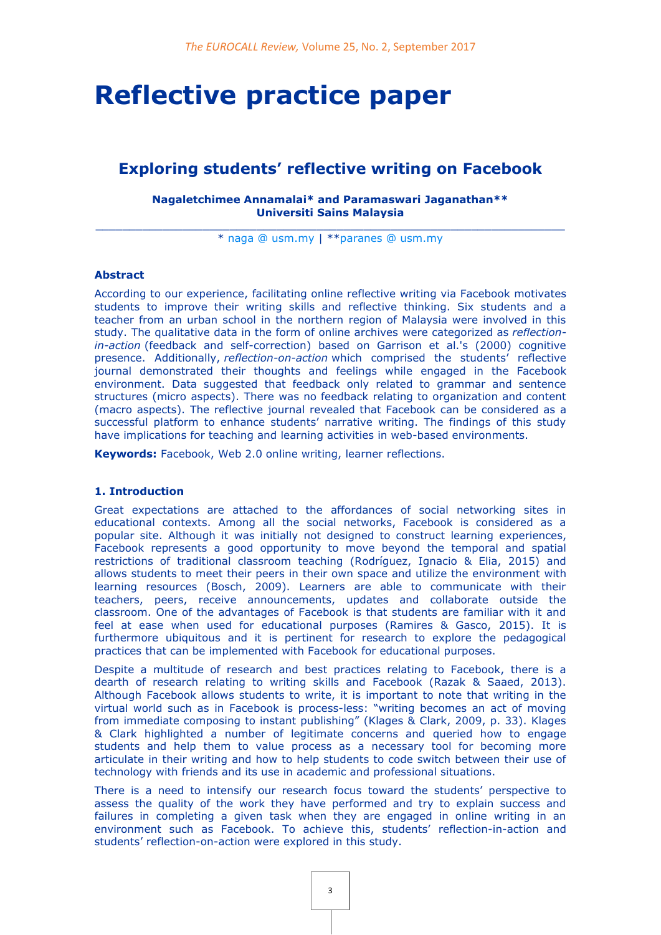# **Reflective practice paper**

## **Exploring students' reflective writing on Facebook**

#### **Nagaletchimee Annamalai\* and Paramaswari Jaganathan\*\* Universiti Sains Malaysia**

 $\_$  , and the set of the set of the set of the set of the set of the set of the set of the set of the set of the set of the set of the set of the set of the set of the set of the set of the set of the set of the set of th \* [naga @ usm.my](mailto:naga@usm.my) | \*[\\*paranes @ usm.my](mailto:parames@usm.my)

#### **Abstract**

According to our experience, facilitating online reflective writing via Facebook motivates students to improve their writing skills and reflective thinking. Six students and a teacher from an urban school in the northern region of Malaysia were involved in this study. The qualitative data in the form of online archives were categorized as *reflectionin-action* (feedback and self-correction) based on Garrison et al.'s (2000) cognitive presence. Additionally, *reflection-on-action* which comprised the students' reflective journal demonstrated their thoughts and feelings while engaged in the Facebook environment. Data suggested that feedback only related to grammar and sentence structures (micro aspects). There was no feedback relating to organization and content (macro aspects). The reflective journal revealed that Facebook can be considered as a successful platform to enhance students' narrative writing. The findings of this study have implications for teaching and learning activities in web-based environments.

**Keywords:** Facebook, Web 2.0 online writing, learner reflections.

#### **1. Introduction**

Great expectations are attached to the affordances of social networking sites in educational contexts. Among all the social networks, Facebook is considered as a popular site. Although it was initially not designed to construct learning experiences, Facebook represents a good opportunity to move beyond the temporal and spatial restrictions of traditional classroom teaching (Rodríguez, Ignacio & Elia, 2015) and allows students to meet their peers in their own space and utilize the environment with learning resources (Bosch, 2009). Learners are able to communicate with their teachers, peers, receive announcements, updates and collaborate outside the classroom. One of the advantages of Facebook is that students are familiar with it and feel at ease when used for educational purposes (Ramires & Gasco, 2015). It is furthermore ubiquitous and it is pertinent for research to explore the pedagogical practices that can be implemented with Facebook for educational purposes.

Despite a multitude of research and best practices relating to Facebook, there is a dearth of research relating to writing skills and Facebook (Razak & Saaed, 2013). Although Facebook allows students to write, it is important to note that writing in the virtual world such as in Facebook is process-less: "writing becomes an act of moving from immediate composing to instant publishing" (Klages & Clark, 2009, p. 33). Klages & Clark highlighted a number of legitimate concerns and queried how to engage students and help them to value process as a necessary tool for becoming more articulate in their writing and how to help students to code switch between their use of technology with friends and its use in academic and professional situations.

There is a need to intensify our research focus toward the students' perspective to assess the quality of the work they have performed and try to explain success and failures in completing a given task when they are engaged in online writing in an environment such as Facebook. To achieve this, students' reflection-in-action and students' reflection-on-action were explored in this study.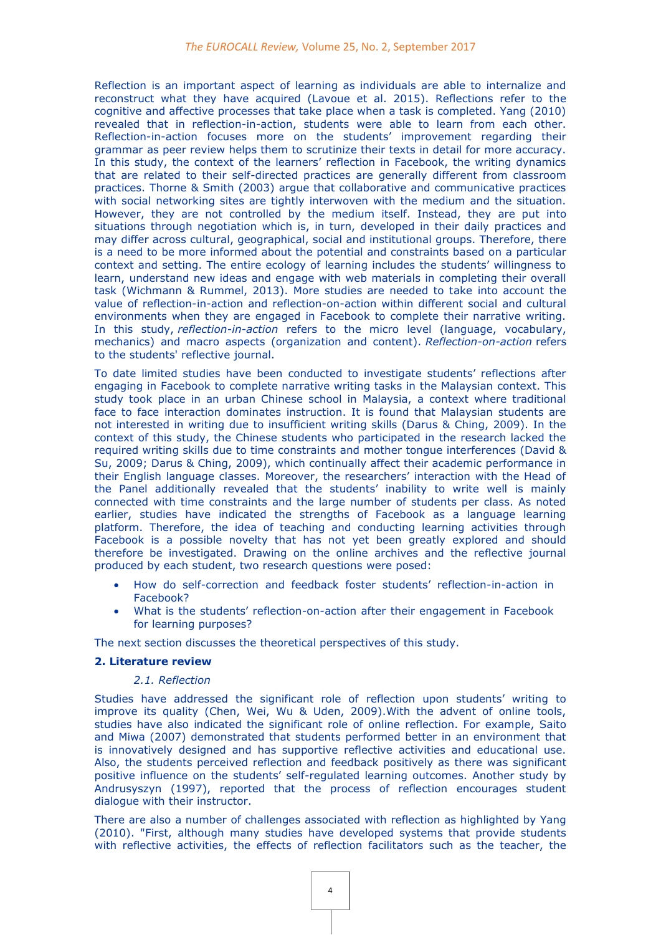Reflection is an important aspect of learning as individuals are able to internalize and reconstruct what they have acquired (Lavoue et al. 2015). Reflections refer to the cognitive and affective processes that take place when a task is completed. Yang (2010) revealed that in reflection-in-action, students were able to learn from each other. Reflection-in-action focuses more on the students' improvement regarding their grammar as peer review helps them to scrutinize their texts in detail for more accuracy. In this study, the context of the learners' reflection in Facebook, the writing dynamics that are related to their self-directed practices are generally different from classroom practices. Thorne & Smith (2003) argue that collaborative and communicative practices with social networking sites are tightly interwoven with the medium and the situation. However, they are not controlled by the medium itself. Instead, they are put into situations through negotiation which is, in turn, developed in their daily practices and may differ across cultural, geographical, social and institutional groups. Therefore, there is a need to be more informed about the potential and constraints based on a particular context and setting. The entire ecology of learning includes the students' willingness to learn, understand new ideas and engage with web materials in completing their overall task (Wichmann & Rummel, 2013). More studies are needed to take into account the value of reflection-in-action and reflection-on-action within different social and cultural environments when they are engaged in Facebook to complete their narrative writing. In this study, *reflection-in-action* refers to the micro level (language, vocabulary, mechanics) and macro aspects (organization and content). *Reflection-on-action* refers to the students' reflective journal.

To date limited studies have been conducted to investigate students' reflections after engaging in Facebook to complete narrative writing tasks in the Malaysian context. This study took place in an urban Chinese school in Malaysia, a context where traditional face to face interaction dominates instruction. It is found that Malaysian students are not interested in writing due to insufficient writing skills (Darus & Ching, 2009). In the context of this study, the Chinese students who participated in the research lacked the required writing skills due to time constraints and mother tongue interferences (David & Su, 2009; Darus & Ching, 2009), which continually affect their academic performance in their English language classes. Moreover, the researchers' interaction with the Head of the Panel additionally revealed that the students' inability to write well is mainly connected with time constraints and the large number of students per class. As noted earlier, studies have indicated the strengths of Facebook as a language learning platform. Therefore, the idea of teaching and conducting learning activities through Facebook is a possible novelty that has not yet been greatly explored and should therefore be investigated. Drawing on the online archives and the reflective journal produced by each student, two research questions were posed:

- How do self-correction and feedback foster students' reflection-in-action in Facebook?
- What is the students' reflection-on-action after their engagement in Facebook for learning purposes?

The next section discusses the theoretical perspectives of this study.

#### **2. Literature review**

#### *2.1. Reflection*

Studies have addressed the significant role of reflection upon students' writing to improve its quality (Chen, Wei, Wu & Uden, 2009).With the advent of online tools, studies have also indicated the significant role of online reflection. For example, Saito and Miwa (2007) demonstrated that students performed better in an environment that is innovatively designed and has supportive reflective activities and educational use. Also, the students perceived reflection and feedback positively as there was significant positive influence on the students' self-regulated learning outcomes. Another study by Andrusyszyn (1997), reported that the process of reflection encourages student dialogue with their instructor.

There are also a number of challenges associated with reflection as highlighted by Yang (2010). "First, although many studies have developed systems that provide students with reflective activities, the effects of reflection facilitators such as the teacher, the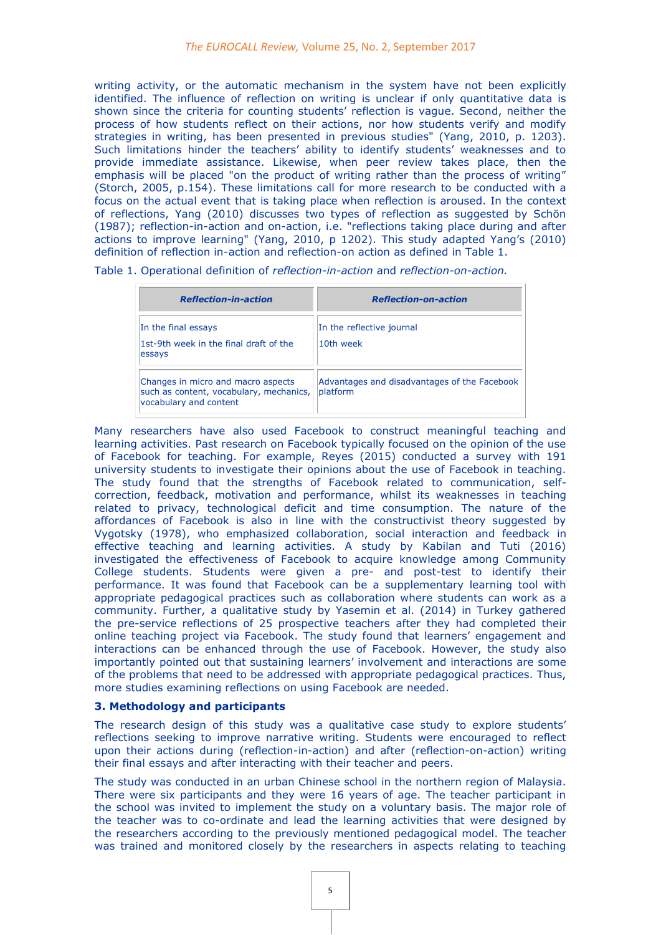writing activity, or the automatic mechanism in the system have not been explicitly identified. The influence of reflection on writing is unclear if only quantitative data is shown since the criteria for counting students' reflection is vague. Second, neither the process of how students reflect on their actions, nor how students verify and modify strategies in writing, has been presented in previous studies" (Yang, 2010, p. 1203). Such limitations hinder the teachers' ability to identify students' weaknesses and to provide immediate assistance. Likewise, when peer review takes place, then the emphasis will be placed "on the product of writing rather than the process of writing" (Storch, 2005, p.154). These limitations call for more research to be conducted with a focus on the actual event that is taking place when reflection is aroused. In the context of reflections, Yang (2010) discusses two types of reflection as suggested by Schön (1987); reflection-in-action and on-action, i.e. "reflections taking place during and after actions to improve learning" (Yang, 2010, p 1202). This study adapted Yang's (2010) definition of reflection in-action and reflection-on action as defined in Table 1.

Table 1. Operational definition of *reflection-in-action* and *reflection-on-action.*

| <b>Reflection-in-action</b>                                                                             | <b>Reflection-on-action</b>                              |
|---------------------------------------------------------------------------------------------------------|----------------------------------------------------------|
| In the final essays<br>1st-9th week in the final draft of the<br>essays                                 | In the reflective journal<br>10th week                   |
| Changes in micro and macro aspects<br>such as content, vocabulary, mechanics,<br>vocabulary and content | Advantages and disadvantages of the Facebook<br>platform |

Many researchers have also used Facebook to construct meaningful teaching and learning activities. Past research on Facebook typically focused on the opinion of the use of Facebook for teaching. For example, Reyes (2015) conducted a survey with 191 university students to investigate their opinions about the use of Facebook in teaching. The study found that the strengths of Facebook related to communication, selfcorrection, feedback, motivation and performance, whilst its weaknesses in teaching related to privacy, technological deficit and time consumption. The nature of the affordances of Facebook is also in line with the constructivist theory suggested by Vygotsky (1978), who emphasized collaboration, social interaction and feedback in effective teaching and learning activities. A study by Kabilan and Tuti (2016) investigated the effectiveness of Facebook to acquire knowledge among Community College students. Students were given a pre- and post-test to identify their performance. It was found that Facebook can be a supplementary learning tool with appropriate pedagogical practices such as collaboration where students can work as a community. Further, a qualitative study by Yasemin et al. (2014) in Turkey gathered the pre-service reflections of 25 prospective teachers after they had completed their online teaching project via Facebook. The study found that learners' engagement and interactions can be enhanced through the use of Facebook. However, the study also importantly pointed out that sustaining learners' involvement and interactions are some of the problems that need to be addressed with appropriate pedagogical practices. Thus, more studies examining reflections on using Facebook are needed.

#### **3. Methodology and participants**

The research design of this study was a qualitative case study to explore students' reflections seeking to improve narrative writing. Students were encouraged to reflect upon their actions during (reflection-in-action) and after (reflection-on-action) writing their final essays and after interacting with their teacher and peers.

The study was conducted in an urban Chinese school in the northern region of Malaysia. There were six participants and they were 16 years of age. The teacher participant in the school was invited to implement the study on a voluntary basis. The major role of the teacher was to co-ordinate and lead the learning activities that were designed by the researchers according to the previously mentioned pedagogical model. The teacher was trained and monitored closely by the researchers in aspects relating to teaching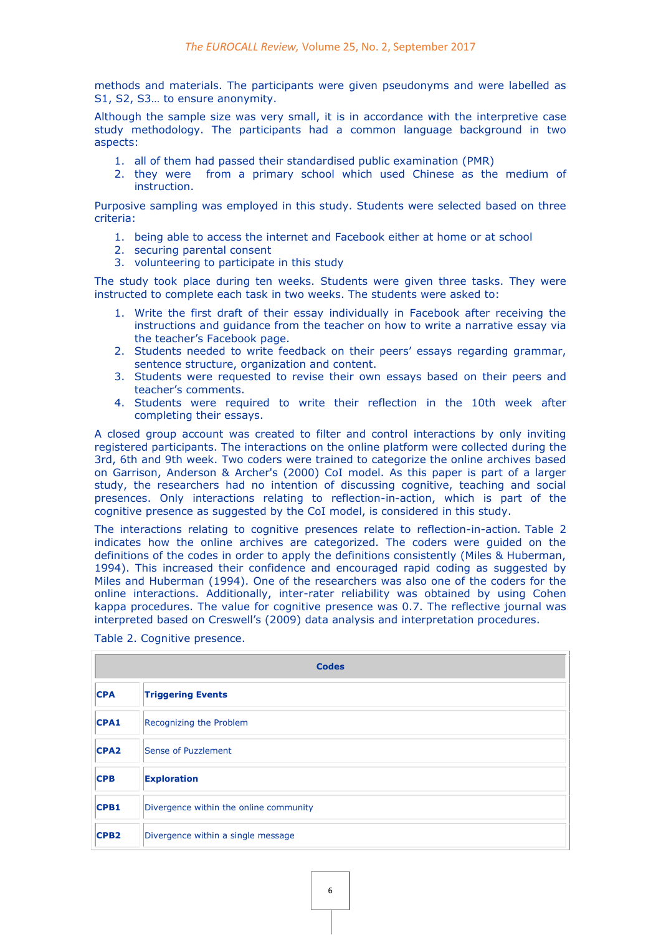methods and materials. The participants were given pseudonyms and were labelled as S1, S2, S3… to ensure anonymity.

Although the sample size was very small, it is in accordance with the interpretive case study methodology. The participants had a common language background in two aspects:

- 1. all of them had passed their standardised public examination (PMR)
- 2. they were from a primary school which used Chinese as the medium of instruction.

Purposive sampling was employed in this study. Students were selected based on three criteria:

- 1. being able to access the internet and Facebook either at home or at school
- 2. securing parental consent
- 3. volunteering to participate in this study

The study took place during ten weeks. Students were given three tasks. They were instructed to complete each task in two weeks. The students were asked to:

- 1. Write the first draft of their essay individually in Facebook after receiving the instructions and guidance from the teacher on how to write a narrative essay via the teacher's Facebook page.
- 2. Students needed to write feedback on their peers' essays regarding grammar, sentence structure, organization and content.
- 3. Students were requested to revise their own essays based on their peers and teacher's comments.
- 4. Students were required to write their reflection in the 10th week after completing their essays.

A closed group account was created to filter and control interactions by only inviting registered participants. The interactions on the online platform were collected during the 3rd, 6th and 9th week. Two coders were trained to categorize the online archives based on Garrison, Anderson & Archer's (2000) CoI model. As this paper is part of a larger study, the researchers had no intention of discussing cognitive, teaching and social presences. Only interactions relating to reflection-in-action, which is part of the cognitive presence as suggested by the CoI model, is considered in this study.

The interactions relating to cognitive presences relate to reflection-in-action*.* Table 2 indicates how the online archives are categorized. The coders were guided on the definitions of the codes in order to apply the definitions consistently (Miles & Huberman, 1994). This increased their confidence and encouraged rapid coding as suggested by Miles and Huberman (1994). One of the researchers was also one of the coders for the online interactions. Additionally, inter-rater reliability was obtained by using Cohen kappa procedures. The value for cognitive presence was 0.7. The reflective journal was interpreted based on Creswell's (2009) data analysis and interpretation procedures.

|                  | <b>Codes</b>                           |  |  |  |  |  |  |  |  |  |
|------------------|----------------------------------------|--|--|--|--|--|--|--|--|--|
| <b>CPA</b>       | <b>Triggering Events</b>               |  |  |  |  |  |  |  |  |  |
| <b>CPA1</b>      | Recognizing the Problem                |  |  |  |  |  |  |  |  |  |
| CPA <sub>2</sub> | Sense of Puzzlement                    |  |  |  |  |  |  |  |  |  |
| <b>CPB</b>       | <b>Exploration</b>                     |  |  |  |  |  |  |  |  |  |
| <b>CPB1</b>      | Divergence within the online community |  |  |  |  |  |  |  |  |  |
| CPB <sub>2</sub> | Divergence within a single message     |  |  |  |  |  |  |  |  |  |

Table 2. Cognitive presence.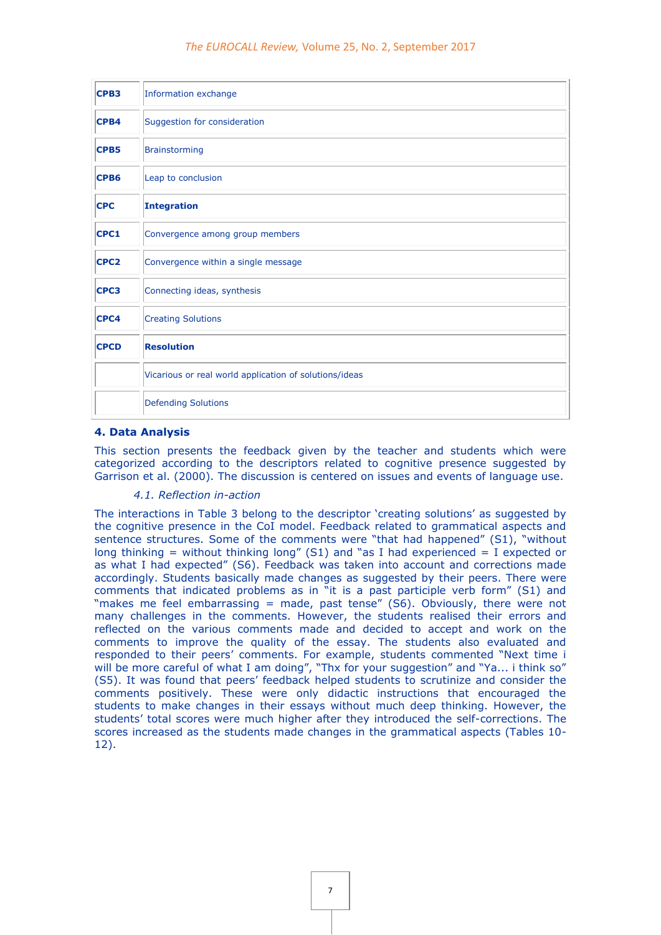| CPB <sub>3</sub> | Information exchange                                   |
|------------------|--------------------------------------------------------|
| CPB4             | Suggestion for consideration                           |
| CPB5             | <b>Brainstorming</b>                                   |
| CPB <sub>6</sub> | Leap to conclusion                                     |
| <b>CPC</b>       | <b>Integration</b>                                     |
| CPC1             | Convergence among group members                        |
| CPC <sub>2</sub> | Convergence within a single message                    |
| CPC3             | Connecting ideas, synthesis                            |
| CPC4             | <b>Creating Solutions</b>                              |
| <b>CPCD</b>      | <b>Resolution</b>                                      |
|                  | Vicarious or real world application of solutions/ideas |
|                  | <b>Defending Solutions</b>                             |

#### **4. Data Analysis**

This section presents the feedback given by the teacher and students which were categorized according to the descriptors related to cognitive presence suggested by Garrison et al. (2000). The discussion is centered on issues and events of language use.

#### *4.1. Reflection in-action*

The interactions in Table 3 belong to the descriptor 'creating solutions' as suggested by the cognitive presence in the CoI model. Feedback related to grammatical aspects and sentence structures. Some of the comments were "that had happened" (S1), "without long thinking = without thinking long" (S1) and "as I had experienced = I expected or as what I had expected" (S6). Feedback was taken into account and corrections made accordingly. Students basically made changes as suggested by their peers. There were comments that indicated problems as in "it is a past participle verb form" (S1) and "makes me feel embarrassing = made, past tense" (S6). Obviously, there were not many challenges in the comments. However, the students realised their errors and reflected on the various comments made and decided to accept and work on the comments to improve the quality of the essay. The students also evaluated and responded to their peers' comments. For example, students commented "Next time i will be more careful of what I am doing", "Thx for your suggestion" and "Ya... i think so" (S5). It was found that peers' feedback helped students to scrutinize and consider the comments positively. These were only didactic instructions that encouraged the students to make changes in their essays without much deep thinking. However, the students' total scores were much higher after they introduced the self-corrections. The scores increased as the students made changes in the grammatical aspects (Tables 10- 12).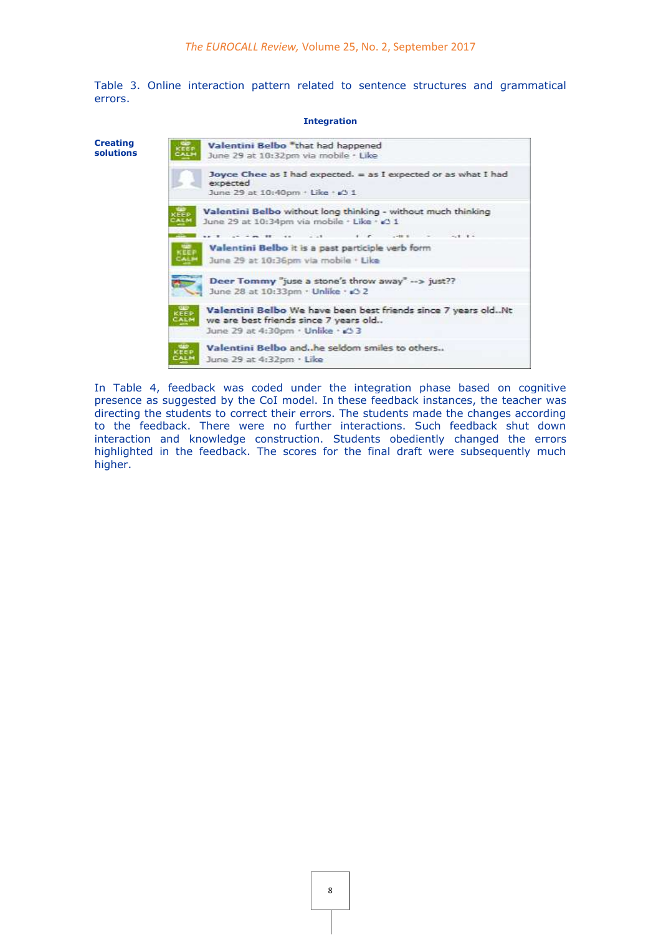Table 3. Online interaction pattern related to sentence structures and grammatical errors.

**Integration**

| <b>Creating</b><br>solutions | Valentini Belbo *that had happened<br>$c \overline{\text{eff}}$ $\text{F}$<br>June 29 at 10:32pm via mobile · Like                                                                                         |  |  |  |  |  |  |  |  |
|------------------------------|------------------------------------------------------------------------------------------------------------------------------------------------------------------------------------------------------------|--|--|--|--|--|--|--|--|
|                              | Joyce Chee as I had expected. = as I expected or as what I had<br>expected<br>June 29 at 10:40pm + Like + s3 1                                                                                             |  |  |  |  |  |  |  |  |
|                              | Valentini Belbo without long thinking - without much thinking<br><b>CEE D</b><br>June 29 at 10:34pm via mobile · Like · < 1<br><b>ALN</b>                                                                  |  |  |  |  |  |  |  |  |
|                              | $\mathbf{r}$ <b>x</b> $\mathbf{r}$ $\mathbf{r}$ $\mathbf{r}$ $\mathbf{r}$ $\mathbf{r}$<br>$-1$ $-1$ $-1$ $-1$<br>Valentini Belbo it is a past participle verb form<br>June 29 at 10:36pm via mobile . Like |  |  |  |  |  |  |  |  |
|                              | Deer Tommy "juse a stone's throw away" $\rightarrow$ just??<br>June 28 at 10:33pm · Unlike · 3 2                                                                                                           |  |  |  |  |  |  |  |  |
|                              | Valentini Belbo We have been best friends since 7 years oldNt<br>KEEP<br>CALM<br>we are best friends since 7 years old<br>June 29 at 4:30pm · Unlike · 23 3                                                |  |  |  |  |  |  |  |  |
|                              | Valentini Belbo and. he seldom smiles to others<br>June 29 at 4:32pm · Like                                                                                                                                |  |  |  |  |  |  |  |  |
|                              |                                                                                                                                                                                                            |  |  |  |  |  |  |  |  |

In Table 4, feedback was coded under the integration phase based on cognitive presence as suggested by the CoI model. In these feedback instances, the teacher was directing the students to correct their errors. The students made the changes according to the feedback. There were no further interactions. Such feedback shut down interaction and knowledge construction. Students obediently changed the errors highlighted in the feedback. The scores for the final draft were subsequently much higher.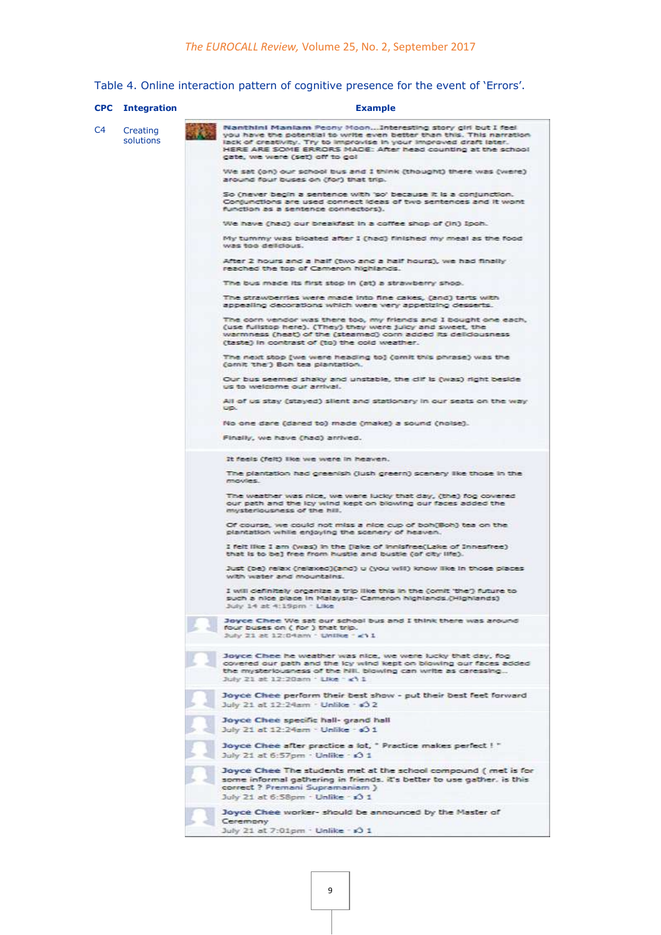Table 4. Online interaction pattern of cognitive presence for the event of 'Errors'.

|                | <b>CPC</b> Integration | <b>Example</b>                                                                                                                                                                                                                                                                                              |  |  |  |  |  |  |  |  |
|----------------|------------------------|-------------------------------------------------------------------------------------------------------------------------------------------------------------------------------------------------------------------------------------------------------------------------------------------------------------|--|--|--|--|--|--|--|--|
| C <sub>4</sub> | Creating<br>solutions  | Nanthini Maniam Peony MoonInteresting story girl but I feel<br>you have the potential to write even better than this. This narration<br>lack of creativity. Try to improvise in your improved draft later.<br>HERE ARE SOME ERRORS MADE: After head counting at the school<br>gate, we were (set) on to go! |  |  |  |  |  |  |  |  |
|                |                        | We sat (on) our school bus and I think (thought) there was (were)<br>around four buses on (for) that trip.                                                                                                                                                                                                  |  |  |  |  |  |  |  |  |
|                |                        | So (never begin a sentence with 'so' because it is a conjunction.<br>Conjunctions are used connect ideas of two sentences and it wont<br>function as a sentence connectors).                                                                                                                                |  |  |  |  |  |  |  |  |
|                |                        | We have (had) our breakfast in a coffee shop of (in) Ipoh.                                                                                                                                                                                                                                                  |  |  |  |  |  |  |  |  |
|                |                        | My tummy was bloated after I (had) finished my meal as the food<br>was too delicious.                                                                                                                                                                                                                       |  |  |  |  |  |  |  |  |
|                |                        | After 2 hours and a half (two and a half hours), we had finally<br>reached the top of Cameron highlands.                                                                                                                                                                                                    |  |  |  |  |  |  |  |  |
|                |                        | The bus made its first stop in (at) a strawberry shop.                                                                                                                                                                                                                                                      |  |  |  |  |  |  |  |  |
|                |                        | The strawberries were made into fine cakes, (and) tarts with<br>appealing decorations which were very appetizing desserts.                                                                                                                                                                                  |  |  |  |  |  |  |  |  |
|                |                        | The corn vendor was there too, my friends and I bought one each,<br>(use fullstop here). (They) they were juley and sweet, the<br>warmness (heat) of the (steamed) com added its delidousness<br>(taste) in contrast of (to) the cold weather.                                                              |  |  |  |  |  |  |  |  |
|                |                        | The next stop (we were heading to) (omit this phrase) was the<br>(omit the ) Boh tea plantation.                                                                                                                                                                                                            |  |  |  |  |  |  |  |  |
|                |                        | Our bus seemed shaky and unstable, the dif is (was) right beside.<br>us to welcome our arrival.                                                                                                                                                                                                             |  |  |  |  |  |  |  |  |
|                |                        | All of us stay (stayed) slient and stationary in our seats on the way<br><b>DIPL:</b>                                                                                                                                                                                                                       |  |  |  |  |  |  |  |  |
|                |                        | No one dare (dared to) made (make) a sound (noise).                                                                                                                                                                                                                                                         |  |  |  |  |  |  |  |  |
|                |                        | Finally, we have (had) arrived.                                                                                                                                                                                                                                                                             |  |  |  |  |  |  |  |  |
|                |                        | It feels (felt) like we were in heaven.                                                                                                                                                                                                                                                                     |  |  |  |  |  |  |  |  |
|                |                        | The plantation had greenish (jush greern) scenery like those in the<br>movies.                                                                                                                                                                                                                              |  |  |  |  |  |  |  |  |
|                |                        | The weather was nice, we were lucky that day, (the) fog covered<br>our path and the lcy wind kept on blowing our faces added the<br>mysteriousness of the hill.                                                                                                                                             |  |  |  |  |  |  |  |  |
|                |                        | Of course, we could not miss a nice cup of boh(Boh) tea on the<br>plantation while enjoying the scenery of heaven.                                                                                                                                                                                          |  |  |  |  |  |  |  |  |
|                |                        | I felt like I am (was) in the (lake of innisfree(Lake of Innesfree)<br>that is to be) free from hustle and bustle (of city life).                                                                                                                                                                           |  |  |  |  |  |  |  |  |
|                |                        | Just (be) relax (relaxed)(and) u (you will) know like in those places<br>with water and mountains.                                                                                                                                                                                                          |  |  |  |  |  |  |  |  |
|                |                        | I will definitely organize a trip like this in the (omit 'the') future to<br>such a nice place in Malaysia- Cameron highlands.(Highlands)<br>July 14 at 4:19pm - Like                                                                                                                                       |  |  |  |  |  |  |  |  |
|                |                        | Joyce Chee We sat our school bus and I think there was around<br>four buses on ( for ) that trip.<br>July 21 at 12:04am - Unlike - <11                                                                                                                                                                      |  |  |  |  |  |  |  |  |
|                |                        | Joyce Chee he weather was nice, we were lucky that day, fog<br>covered our path and the lcy wind kept on blowing our faces added<br>the mysteriousness of the hill, blowing can write as caressing<br>July 21 at 12:20am . Like : <11                                                                       |  |  |  |  |  |  |  |  |
|                |                        | Joyce Chee perform their best show - put their best feet forward<br>July 21 at 12:24am - Unlike - +3 2                                                                                                                                                                                                      |  |  |  |  |  |  |  |  |
|                |                        | Joyce Chee specific hall- grand hall<br>July 21 at 12:24am - Unlike - c) 1                                                                                                                                                                                                                                  |  |  |  |  |  |  |  |  |
|                |                        | Joyce Chee after practice a lot, " Practice makes perfect ! "<br>July 21 at 6:57pm - Unlike - 0 1                                                                                                                                                                                                           |  |  |  |  |  |  |  |  |
|                |                        | Joyce Chee The students met at the school compound (met is for<br>some informal gathering in friends. it's better to use gather, is this<br>correct ? Premani Supramaniam )<br>July 21 at 6:58pm - Unlike - x3 1                                                                                            |  |  |  |  |  |  |  |  |
|                |                        | Joyce Chee worker- should be announced by the Master of                                                                                                                                                                                                                                                     |  |  |  |  |  |  |  |  |
|                |                        | Ceremony<br>July 21 at 7:01pm . Unlike - x3 1                                                                                                                                                                                                                                                               |  |  |  |  |  |  |  |  |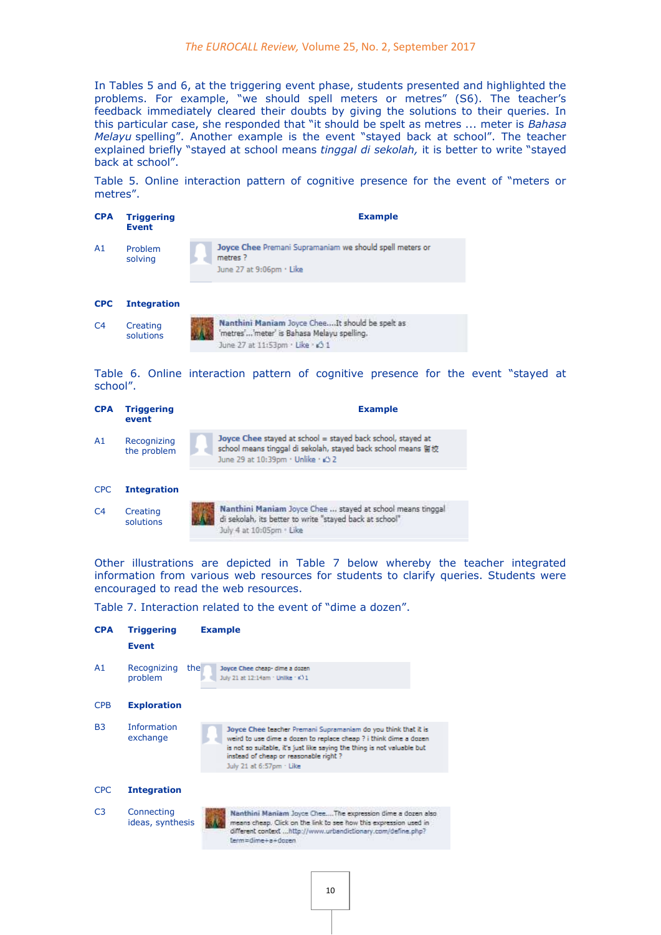In Tables 5 and 6, at the triggering event phase, students presented and highlighted the problems. For example, "we should spell meters or metres" (S6). The teacher's feedback immediately cleared their doubts by giving the solutions to their queries. In this particular case, she responded that "it should be spelt as metres ... meter is *Bahasa Melayu* spelling". Another example is the event "stayed back at school". The teacher explained briefly "stayed at school means *tinggal di sekolah,* it is better to write "stayed back at school".

Table 5. Online interaction pattern of cognitive presence for the event of "meters or metres".



Table 6. Online interaction pattern of cognitive presence for the event "stayed at school".

| <b>CPA</b> | <b>Triggering</b><br>event | <b>Example</b>                                                                                                                                                  |
|------------|----------------------------|-----------------------------------------------------------------------------------------------------------------------------------------------------------------|
| A1         | Recognizing<br>the problem | Joyce Chee stayed at school = stayed back school, stayed at<br>school means tinggal di sekolah, stayed back school means 图校<br>June 29 at 10:39pm · Unlike · 32 |
| <b>CPC</b> | <b>Integration</b>         |                                                                                                                                                                 |



Other illustrations are depicted in Table 7 below whereby the teacher integrated information from various web resources for students to clarify queries. Students were encouraged to read the web resources.

Table 7. Interaction related to the event of "dime a dozen".

| <b>CPA</b>     | <b>Triggering</b><br><b>Event</b> | <b>Example</b>                                                                                                                                                                                                                                                                      |
|----------------|-----------------------------------|-------------------------------------------------------------------------------------------------------------------------------------------------------------------------------------------------------------------------------------------------------------------------------------|
| A1             | Recognizing<br>the<br>problem     | Joyce Chee cheap- dime a dozen<br>July 21 at 12:14am · Unlike · ¢) 1                                                                                                                                                                                                                |
| <b>CPB</b>     | <b>Exploration</b>                |                                                                                                                                                                                                                                                                                     |
| <b>B3</b>      | <b>Information</b><br>exchange    | Joyce Chee teacher Premani Supramaniam do you think that it is<br>weird to use dime a dozen to replace cheap ? i think dime a dozen<br>is not so suitable, it's just like saying the thing is not valuable but<br>instead of cheap or reasonable right?<br>July 21 at 6:57pm · Like |
| <b>CPC</b>     | <b>Integration</b>                |                                                                                                                                                                                                                                                                                     |
| C <sub>3</sub> | Connecting<br>ideas, synthesis    | Nanthini Maniam Joyce CheeThe expression dime a dozen also<br>means cheap. Click on the link to see how this expression used in<br>different context http://www.urbandictionary.com/define.php?<br>term=dime+a+dozen                                                                |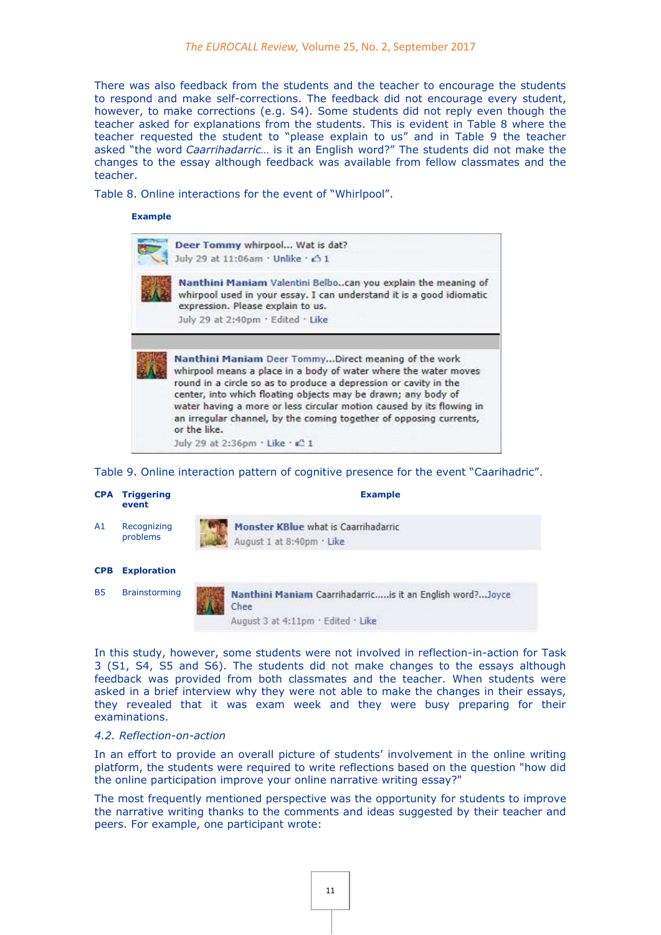There was also feedback from the students and the teacher to encourage the students to respond and make self-corrections. The feedback did not encourage every student, however, to make corrections (e.g. S4). Some students did not reply even though the teacher asked for explanations from the students. This is evident in Table 8 where the teacher requested the student to "please explain to us" and in Table 9 the teacher asked "the word *Caarrihadarric…* is it an English word?" The students did not make the changes to the essay although feedback was available from fellow classmates and the teacher.

Table 8. Online interactions for the event of "Whirlpool".

#### **Example**



Table 9. Online interaction pattern of cognitive presence for the event "Caarihadric".

|            | <b>CPA Triggering</b><br>event | <b>Example</b>                                                    |
|------------|--------------------------------|-------------------------------------------------------------------|
| A1         | Recognizing<br>problems        | Monster KBlue what is Caarrihadarric<br>August 1 at 8:40pm · Like |
| <b>CPB</b> | <b>Exploration</b>             |                                                                   |
| <b>B5</b>  | <b>Brainstorming</b>           | Nanthini Maniam Caarrihadarricis it an English word?Joyce<br>Chee |
|            |                                | August 3 at 4:11pm · Edited · Like                                |

In this study, however, some students were not involved in reflection-in-action for Task 3 (S1, S4, S5 and S6). The students did not make changes to the essays although feedback was provided from both classmates and the teacher. When students were asked in a brief interview why they were not able to make the changes in their essays, they revealed that it was exam week and they were busy preparing for their examinations.

#### *4.2. Reflection-on-action*

In an effort to provide an overall picture of students' involvement in the online writing platform, the students were required to write reflections based on the question "how did the online participation improve your online narrative writing essay?"

The most frequently mentioned perspective was the opportunity for students to improve the narrative writing thanks to the comments and ideas suggested by their teacher and peers. For example, one participant wrote: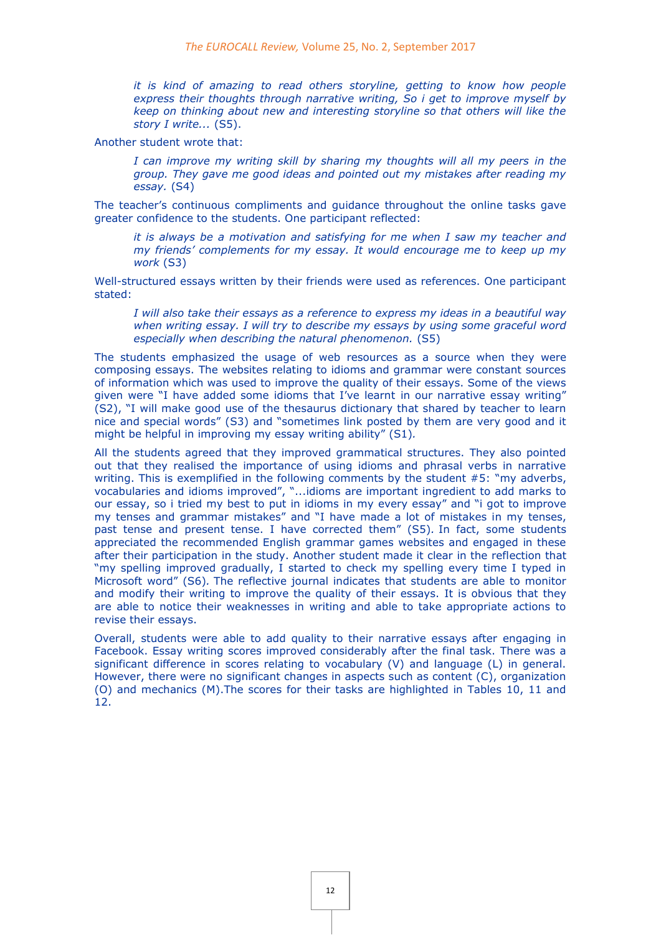*it is kind of amazing to read others storyline, getting to know how people express their thoughts through narrative writing, So i get to improve myself by keep on thinking about new and interesting storyline so that others will like the story I write...* (S5).

Another student wrote that:

*I can improve my writing skill by sharing my thoughts will all my peers in the group. They gave me good ideas and pointed out my mistakes after reading my essay.* (S4)

The teacher's continuous compliments and guidance throughout the online tasks gave greater confidence to the students. One participant reflected:

*it is always be a motivation and satisfying for me when I saw my teacher and my friends' complements for my essay. It would encourage me to keep up my work* (S3)

Well-structured essays written by their friends were used as references. One participant stated:

*I will also take their essays as a reference to express my ideas in a beautiful way when writing essay. I will try to describe my essays by using some graceful word especially when describing the natural phenomenon.* (S5)

The students emphasized the usage of web resources as a source when they were composing essays. The websites relating to idioms and grammar were constant sources of information which was used to improve the quality of their essays. Some of the views given were "I have added some idioms that I've learnt in our narrative essay writing" (S2), "I will make good use of the thesaurus dictionary that shared by teacher to learn nice and special words" (S3) and "sometimes link posted by them are very good and it might be helpful in improving my essay writing ability" (S1)*.*

All the students agreed that they improved grammatical structures. They also pointed out that they realised the importance of using idioms and phrasal verbs in narrative writing. This is exemplified in the following comments by the student #5: "my adverbs, vocabularies and idioms improved", "...idioms are important ingredient to add marks to our essay, so i tried my best to put in idioms in my every essay" and "i got to improve my tenses and grammar mistakes" and "I have made a lot of mistakes in my tenses, past tense and present tense. I have corrected them" (S5)*.* In fact, some students appreciated the recommended English grammar games websites and engaged in these after their participation in the study. Another student made it clear in the reflection that "my spelling improved gradually, I started to check my spelling every time I typed in Microsoft word" (S6)*.* The reflective journal indicates that students are able to monitor and modify their writing to improve the quality of their essays. It is obvious that they are able to notice their weaknesses in writing and able to take appropriate actions to revise their essays.

Overall, students were able to add quality to their narrative essays after engaging in Facebook. Essay writing scores improved considerably after the final task. There was a significant difference in scores relating to vocabulary (V) and language (L) in general. However, there were no significant changes in aspects such as content (C), organization (O) and mechanics (M).The scores for their tasks are highlighted in Tables 10, 11 and 12.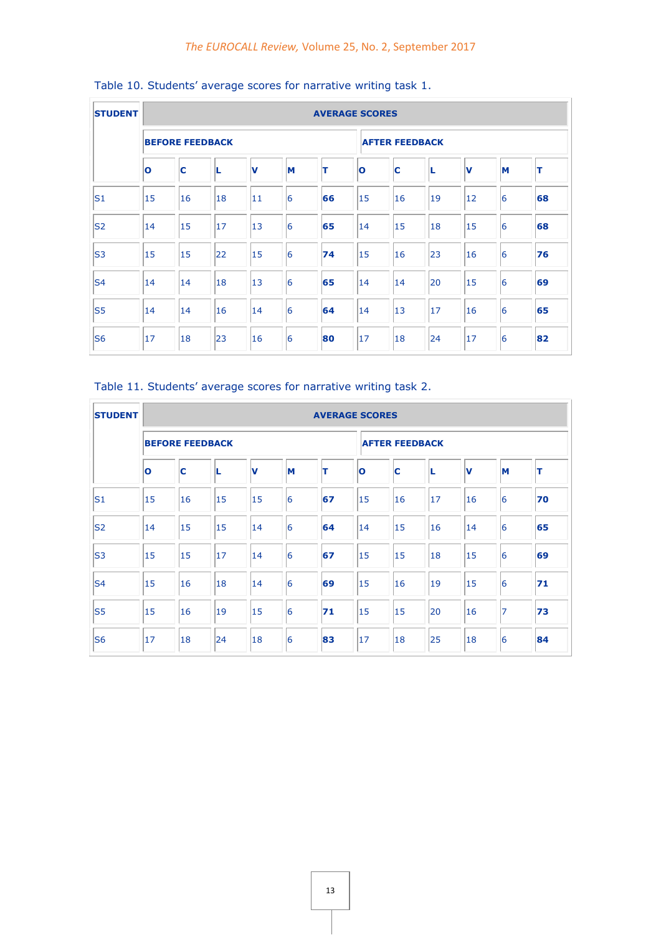| <b>STUDENT</b> | <b>AVERAGE SCORES</b>   |    |    |             |    |    |              |                       |    |    |   |    |  |
|----------------|-------------------------|----|----|-------------|----|----|--------------|-----------------------|----|----|---|----|--|
|                | <b>BEFORE FEEDBACK</b>  |    |    |             |    |    |              | <b>AFTER FEEDBACK</b> |    |    |   |    |  |
|                | $\overline{\mathbf{o}}$ | C  |    | $\mathbf v$ | M  | ΙT | $\mathbf{o}$ | ІС                    |    | v  | M | π  |  |
| S <sub>1</sub> | 15                      | 16 | 18 | 11          | 6  | 66 | 15           | 16                    | 19 | 12 | 6 | 68 |  |
| S <sub>2</sub> | 14                      | 15 | 17 | 13          | 6  | 65 | 14           | 15                    | 18 | 15 | 6 | 68 |  |
| S <sub>3</sub> | 15                      | 15 | 22 | 15          | 16 | 74 | 15           | 16                    | 23 | 16 | 6 | 76 |  |
| S <sub>4</sub> | 14                      | 14 | 18 | 13          | 6  | 65 | 14           | 14                    | 20 | 15 | 6 | 69 |  |
| S <sub>5</sub> | 14                      | 14 | 16 | 14          | 6  | 64 | 14           | $ 13\rangle$          | 17 | 16 | 6 | 65 |  |
| S <sub>6</sub> | 17                      | 18 | 23 | 16          | 16 | 80 | 17           | 18                    | 24 | 17 | 6 | 82 |  |

### Table 10. Students' average scores for narrative writing task 1.

Table 11. Students' average scores for narrative writing task 2.

| <b>STUDENT</b> |              |                        |    |             | <b>AVERAGE SCORES</b> |    |              |                       |    |    |   |    |  |  |
|----------------|--------------|------------------------|----|-------------|-----------------------|----|--------------|-----------------------|----|----|---|----|--|--|
|                |              | <b>BEFORE FEEDBACK</b> |    |             |                       |    |              | <b>AFTER FEEDBACK</b> |    |    |   |    |  |  |
|                | $\mathbf{o}$ | c                      | L  | $\mathbf v$ | M                     | T  | $\mathbf{o}$ | C                     |    | v  | M | T  |  |  |
| S <sub>1</sub> | 15           | 16                     | 15 | 15          | $\overline{6}$        | 67 | 15           | 16                    | 17 | 16 | 6 | 70 |  |  |
| S <sub>2</sub> | 14           | 15                     | 15 | 14          | $\overline{6}$        | 64 | 14           | 15                    | 16 | 14 | 6 | 65 |  |  |
| S <sub>3</sub> | 15           | 15                     | 17 | 14          | $\overline{6}$        | 67 | 15           | 15                    | 18 | 15 | 6 | 69 |  |  |
| S <sub>4</sub> | 15           | 16                     | 18 | 14          | 6                     | 69 | 15           | 16                    | 19 | 15 | 6 | 71 |  |  |
| S <sub>5</sub> | 15           | 16                     | 19 | 15          | $\overline{6}$        | 71 | 15           | 15                    | 20 | 16 | 7 | 73 |  |  |
| S <sub>6</sub> | 17           | 18                     | 24 | 18          | $\overline{6}$        | 83 | 17           | 18                    | 25 | 18 | 6 | 84 |  |  |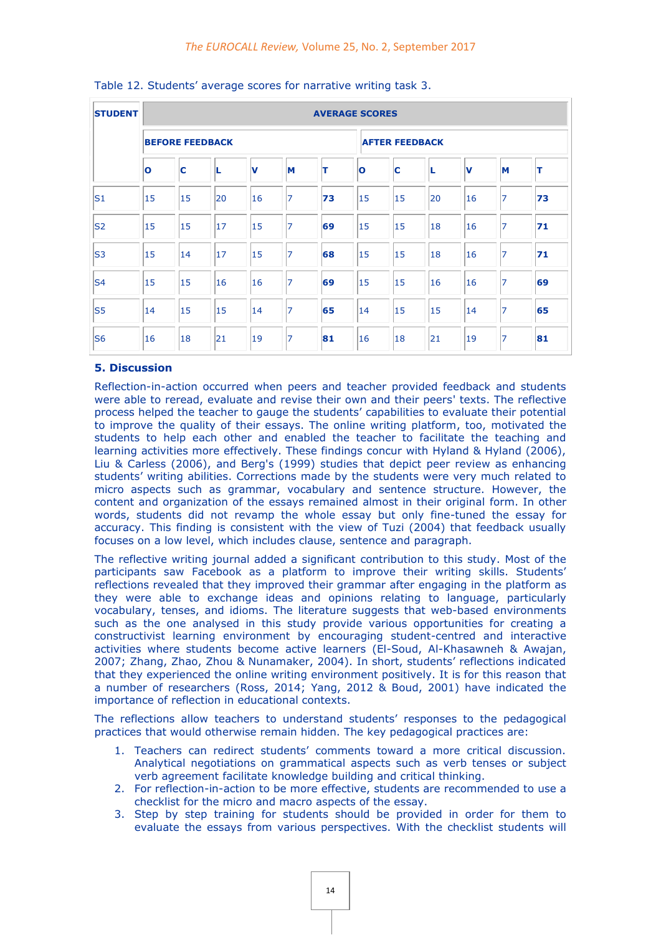| <b>STUDENT</b> | <b>AVERAGE SCORES</b> |                        |    |             |    |    |              |                       |    |    |                |    |  |
|----------------|-----------------------|------------------------|----|-------------|----|----|--------------|-----------------------|----|----|----------------|----|--|
|                |                       | <b>BEFORE FEEDBACK</b> |    |             |    |    |              | <b>AFTER FEEDBACK</b> |    |    |                |    |  |
|                | $\mathbf{o}$          | IC                     | L  | $\mathbf v$ | M  | ΙT | $\mathbf{o}$ | IC                    |    | V  | M              | T  |  |
| S <sub>1</sub> | 15                    | 15                     | 20 | 16          | 7  | 73 | 15           | 15                    | 20 | 16 | $\overline{7}$ | 73 |  |
| S <sub>2</sub> | 15                    | 15                     | 17 | 15          | 7  | 69 | 15           | 15                    | 18 | 16 | 7              | 71 |  |
| $\mathsf{S}3$  | 15                    | 14                     | 17 | 15          | 17 | 68 | 15           | 15                    | 18 | 16 | 7              | 71 |  |
| S <sub>4</sub> | 15                    | 15                     | 16 | 16          | 17 | 69 | 15           | 15                    | 16 | 16 | 7              | 69 |  |
| S <sub>5</sub> | 14                    | 15                     | 15 | 14          | 17 | 65 | 14           | 15                    | 15 | 14 | 17             | 65 |  |
| S <sub>6</sub> | 16                    | 18                     | 21 | 19          | 7  | 81 | 16           | 18                    | 21 | 19 | 17             | 81 |  |

#### Table 12. Students' average scores for narrative writing task 3.

#### **5. Discussion**

Reflection-in-action occurred when peers and teacher provided feedback and students were able to reread, evaluate and revise their own and their peers' texts. The reflective process helped the teacher to gauge the students' capabilities to evaluate their potential to improve the quality of their essays. The online writing platform, too, motivated the students to help each other and enabled the teacher to facilitate the teaching and learning activities more effectively. These findings concur with Hyland & Hyland (2006), Liu & Carless (2006), and Berg's (1999) studies that depict peer review as enhancing students' writing abilities. Corrections made by the students were very much related to micro aspects such as grammar, vocabulary and sentence structure. However, the content and organization of the essays remained almost in their original form. In other words, students did not revamp the whole essay but only fine-tuned the essay for accuracy. This finding is consistent with the view of Tuzi (2004) that feedback usually focuses on a low level, which includes clause, sentence and paragraph.

The reflective writing journal added a significant contribution to this study. Most of the participants saw Facebook as a platform to improve their writing skills. Students' reflections revealed that they improved their grammar after engaging in the platform as they were able to exchange ideas and opinions relating to language, particularly vocabulary, tenses, and idioms. The literature suggests that web-based environments such as the one analysed in this study provide various opportunities for creating a constructivist learning environment by encouraging student-centred and interactive activities where students become active learners (El-Soud, Al-Khasawneh & Awajan, 2007; Zhang, Zhao, Zhou & Nunamaker, 2004). In short, students' reflections indicated that they experienced the online writing environment positively. It is for this reason that a number of researchers (Ross, 2014; Yang, 2012 & Boud, 2001) have indicated the importance of reflection in educational contexts.

The reflections allow teachers to understand students' responses to the pedagogical practices that would otherwise remain hidden. The key pedagogical practices are:

- 1. Teachers can redirect students' comments toward a more critical discussion. Analytical negotiations on grammatical aspects such as verb tenses or subject verb agreement facilitate knowledge building and critical thinking.
- 2. For reflection-in-action to be more effective, students are recommended to use a checklist for the micro and macro aspects of the essay.
- 3. Step by step training for students should be provided in order for them to evaluate the essays from various perspectives. With the checklist students will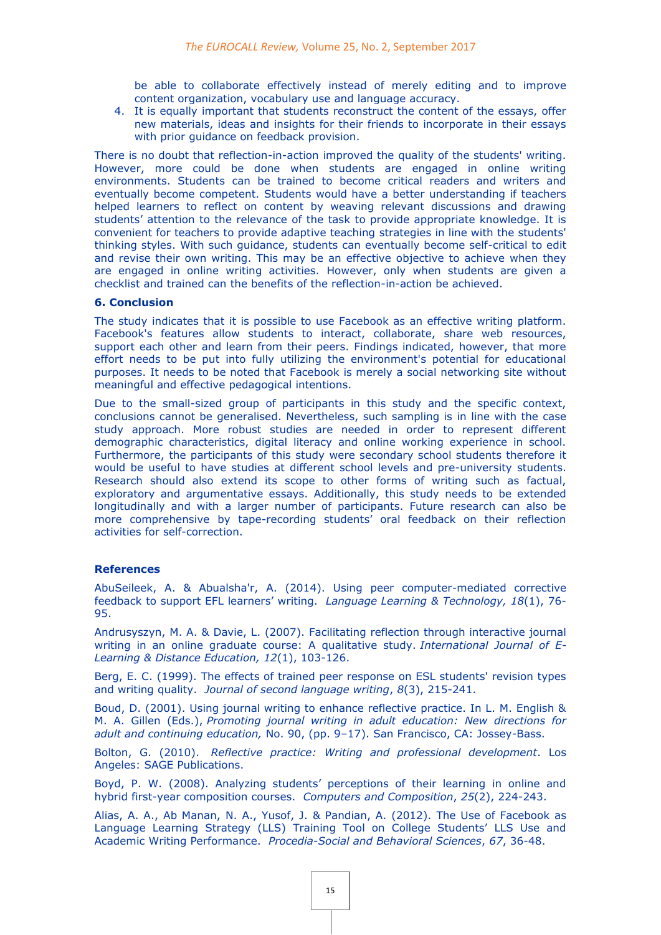be able to collaborate effectively instead of merely editing and to improve content organization, vocabulary use and language accuracy.

4. It is equally important that students reconstruct the content of the essays, offer new materials, ideas and insights for their friends to incorporate in their essays with prior guidance on feedback provision.

There is no doubt that reflection-in-action improved the quality of the students' writing. However, more could be done when students are engaged in online writing environments. Students can be trained to become critical readers and writers and eventually become competent. Students would have a better understanding if teachers helped learners to reflect on content by weaving relevant discussions and drawing students' attention to the relevance of the task to provide appropriate knowledge. It is convenient for teachers to provide adaptive teaching strategies in line with the students' thinking styles. With such guidance, students can eventually become self-critical to edit and revise their own writing. This may be an effective objective to achieve when they are engaged in online writing activities. However, only when students are given a checklist and trained can the benefits of the reflection-in-action be achieved.

#### **6. Conclusion**

The study indicates that it is possible to use Facebook as an effective writing platform. Facebook's features allow students to interact, collaborate, share web resources, support each other and learn from their peers. Findings indicated, however, that more effort needs to be put into fully utilizing the environment's potential for educational purposes. It needs to be noted that Facebook is merely a social networking site without meaningful and effective pedagogical intentions.

Due to the small-sized group of participants in this study and the specific context, conclusions cannot be generalised. Nevertheless, such sampling is in line with the case study approach. More robust studies are needed in order to represent different demographic characteristics, digital literacy and online working experience in school. Furthermore, the participants of this study were secondary school students therefore it would be useful to have studies at different school levels and pre-university students. Research should also extend its scope to other forms of writing such as factual, exploratory and argumentative essays. Additionally, this study needs to be extended longitudinally and with a larger number of participants. Future research can also be more comprehensive by tape-recording students' oral feedback on their reflection activities for self-correction.

#### **References**

AbuSeileek, A. & Abualsha'r, A. (2014). Using peer computer-mediated corrective feedback to support EFL learners' writing. *Language Learning & Technology, 18*(1), 76- 95.

Andrusyszyn, M. A. & Davie, L. (2007). Facilitating reflection through interactive journal writing in an online graduate course: A qualitative study. *International Journal of E-Learning & Distance Education, 12*(1), 103-126.

Berg, E. C. (1999). The effects of trained peer response on ESL students' revision types and writing quality. *Journal of second language writing*, *8*(3), 215-241.

Boud, D. (2001). Using journal writing to enhance reflective practice. In L. M. English & M. A. Gillen (Eds.), *Promoting journal writing in adult education: New directions for adult and continuing education,* No. 90, (pp. 9–17). San Francisco, CA: Jossey-Bass.

Bolton, G. (2010). *Reflective practice: Writing and professional development*. Los Angeles: SAGE Publications.

Boyd, P. W. (2008). Analyzing students' perceptions of their learning in online and hybrid first-year composition courses. *Computers and Composition*, *25*(2), 224-243.

Alias, A. A., Ab Manan, N. A., Yusof, J. & Pandian, A. (2012). The Use of Facebook as Language Learning Strategy (LLS) Training Tool on College Students' LLS Use and Academic Writing Performance. *Procedia-Social and Behavioral Sciences*, *67*, 36-48.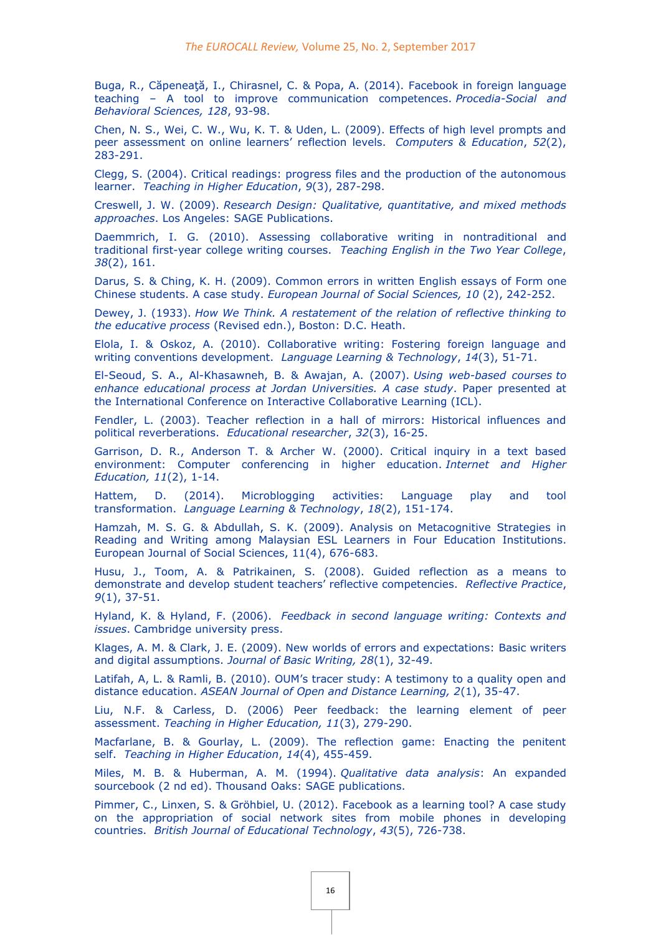Buga, R., Căpeneaţă, I., Chirasnel, C. & Popa, A. (2014). Facebook in foreign language teaching – A tool to improve communication competences. *Procedia-Social and Behavioral Sciences, 128*, 93-98.

Chen, N. S., Wei, C. W., Wu, K. T. & Uden, L. (2009). Effects of high level prompts and peer assessment on online learners' reflection levels. *Computers & Education*, *52*(2), 283-291.

Clegg, S. (2004). Critical readings: progress files and the production of the autonomous learner. *Teaching in Higher Education*, *9*(3), 287-298.

Creswell, J. W. (2009). *Research Design: Qualitative, quantitative, and mixed methods approaches*. Los Angeles: SAGE Publications.

Daemmrich, I. G. (2010). Assessing collaborative writing in nontraditional and traditional first-year college writing courses. *Teaching English in the Two Year College*, *38*(2), 161.

Darus, S. & Ching, K. H. (2009). Common errors in written English essays of Form one Chinese students. A case study. *European Journal of Social Sciences, 10* (2), 242-252.

Dewey, J. (1933). *How We Think. A restatement of the relation of reflective thinking to the educative process* (Revised edn.), Boston: D.C. Heath.

Elola, I. & Oskoz, A. (2010). Collaborative writing: Fostering foreign language and writing conventions development. *Language Learning & Technology*, *14*(3), 51-71.

El-Seoud, S. A., Al-Khasawneh, B. & Awajan, A. (2007). *Using web-based courses to enhance educational process at Jordan Universities. A case study*. Paper presented at the International Conference on Interactive Collaborative Learning (ICL).

Fendler, L. (2003). Teacher reflection in a hall of mirrors: Historical influences and political reverberations. *Educational researcher*, *32*(3), 16-25.

Garrison, D. R., Anderson T. & Archer W. (2000). Critical inquiry in a text based environment: Computer conferencing in higher education. *Internet and Higher Education, 11*(2), 1-14.

Hattem, D. (2014). Microblogging activities: Language play and tool transformation. *Language Learning & Technology*, *18*(2), 151-174.

Hamzah, M. S. G. & Abdullah, S. K. (2009). Analysis on Metacognitive Strategies in Reading and Writing among Malaysian ESL Learners in Four Education Institutions. European Journal of Social Sciences, 11(4), 676-683.

Husu, J., Toom, A. & Patrikainen, S. (2008). Guided reflection as a means to demonstrate and develop student teachers' reflective competencies. *Reflective Practice*, *9*(1), 37-51.

Hyland, K. & Hyland, F. (2006). *Feedback in second language writing: Contexts and issues*. Cambridge university press.

Klages, A. M. & Clark, J. E. (2009). New worlds of errors and expectations: Basic writers and digital assumptions. *Journal of Basic Writing, 28*(1), 32-49.

Latifah, A, L. & Ramli, B. (2010). OUM's tracer study: A testimony to a quality open and distance education. *ASEAN Journal of Open and Distance Learning, 2*(1), 35-47.

Liu, N.F. & Carless, D. (2006) Peer feedback: the learning element of peer assessment. *Teaching in Higher Education, 11*(3), 279-290.

Macfarlane, B. & Gourlay, L. (2009). The reflection game: Enacting the penitent self. *Teaching in Higher Education*, *14*(4), 455-459.

Miles, M. B. & Huberman, A. M. (1994). *Qualitative data analysis*: An expanded sourcebook (2 nd ed). Thousand Oaks: SAGE publications.

Pimmer, C., Linxen, S. & Gröhbiel, U. (2012). Facebook as a learning tool? A case study on the appropriation of social network sites from mobile phones in developing countries. *British Journal of Educational Technology*, *43*(5), 726-738.